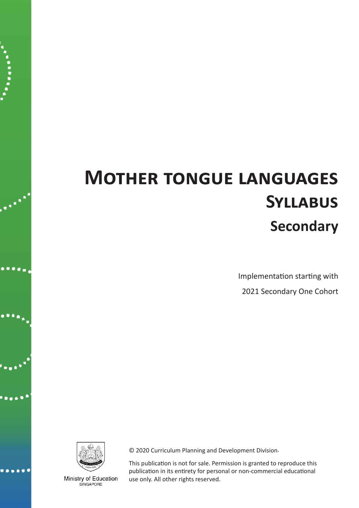# **Mother tongue languages Syllabus Secondary**

Implementation starting with 2021 Secondary One Cohort



Ministry of Education SINGAPORE

© 2020 Curriculum Planning and Development Division.

This publication is not for sale. Permission is granted to reproduce this publication in its entirety for personal or non-commercial educational use only. All other rights reserved.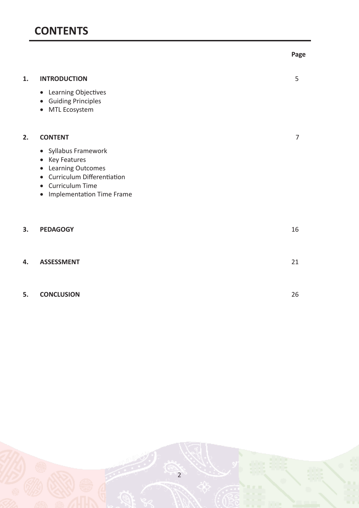|    |                                                                                                                                                                     | Page           |
|----|---------------------------------------------------------------------------------------------------------------------------------------------------------------------|----------------|
| 1. | <b>INTRODUCTION</b><br>• Learning Objectives<br>• Guiding Principles<br>• MTL Ecosystem                                                                             | 5              |
| 2. | <b>CONTENT</b>                                                                                                                                                      | $\overline{7}$ |
|    | • Syllabus Framework<br>• Key Features<br>• Learning Outcomes<br>• Curriculum Differentiation<br>• Curriculum Time<br><b>Implementation Time Frame</b><br>$\bullet$ |                |
| 3. | <b>PEDAGOGY</b>                                                                                                                                                     | 16             |
| 4. | <b>ASSESSMENT</b>                                                                                                                                                   | 21             |
| 5. | <b>CONCLUSION</b>                                                                                                                                                   | 26             |

# 2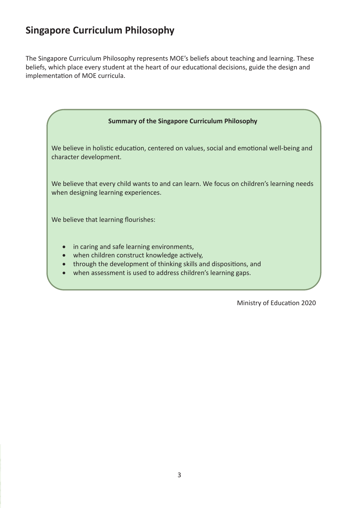# **Singapore Curriculum Philosophy**

The Singapore Curriculum Philosophy represents MOE's beliefs about teaching and learning. These beliefs, which place every student at the heart of our educational decisions, guide the design and implementation of MOE curricula.



Ministry of Education 2020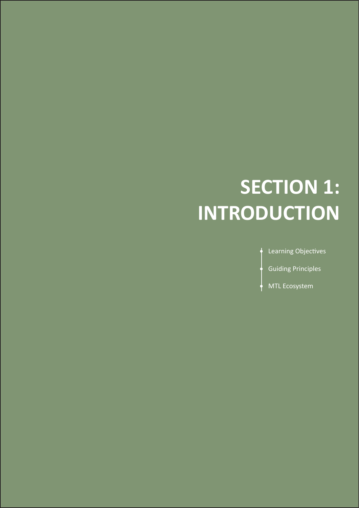# **SECTION 1: INTRODUCTION**

- **Learning Objectives** 
	- **Guiding Principles**
- **MTL Ecosystem**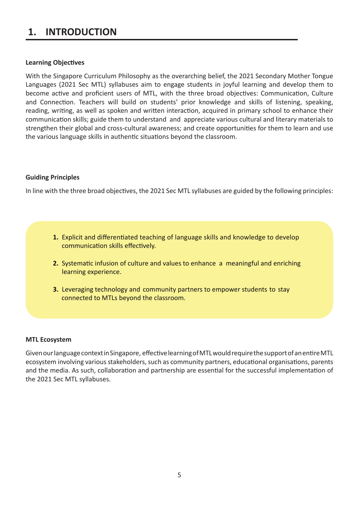## **1. INTRODUCTION**

#### **Learning Objectives**

With the Singapore Curriculum Philosophy as the overarching belief, the 2021 Secondary Mother Tongue Languages (2021 Sec MTL) syllabuses aim to engage students in joyful learning and develop them to become active and proficient users of MTL, with the three broad objectives: Communication, Culture and Connection. Teachers will build on students' prior knowledge and skills of listening, speaking, reading, writing, as well as spoken and written interaction, acquired in primary school to enhance their communication skills; guide them to understand and appreciate various cultural and literary materials to strengthen their global and cross-cultural awareness; and create opportunities for them to learn and use the various language skills in authentic situations beyond the classroom.

#### **Guiding Principles**

In line with the three broad objectives, the 2021 Sec MTL syllabuses are guided by the following principles:

- **1.** Explicit and differentiated teaching of language skills and knowledge to develop communication skills effectively.
- **2.** Systematic infusion of culture and values to enhance a meaningful and enriching learning experience.
- **3.** Leveraging technology and community partners to empower students to stay connected to MTLs beyond the classroom.

#### **MTL Ecosystem**

Given our language context in Singapore, effective learning of MTL would require the support of an entire MTL ecosystem involving various stakeholders, such as community partners, educational organisations, parents and the media. As such, collaboration and partnership are essential for the successful implementation of the 2021 Sec MTL syllabuses.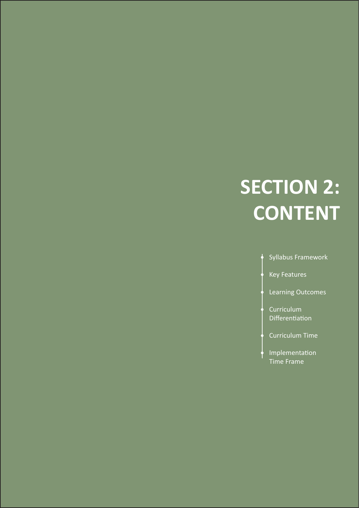# **SECTION 2: CONTENT**

- Syllabus Framework
- **Key Features**
- Learning Outcomes
- **Curriculum** Differentiation
- **Curriculum Time**
- **Implementation** Time Frame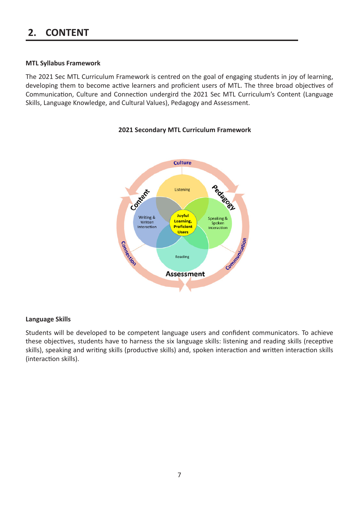## **2. CONTENT**

#### **MTL Syllabus Framework**

The 2021 Sec MTL Curriculum Framework is centred on the goal of engaging students in joy of learning, developing them to become active learners and proficient users of MTL. The three broad objectives of Communication, Culture and Connection undergird the 2021 Sec MTL Curriculum's Content (Language Skills, Language Knowledge, and Cultural Values), Pedagogy and Assessment.



#### **2021 Secondary MTL Curriculum Framework**

#### **Language Skills**

Students will be developed to be competent language users and confident communicators. To achieve these objectives, students have to harness the six language skills: listening and reading skills (receptive skills), speaking and writing skills (productive skills) and, spoken interaction and written interaction skills (interaction skills).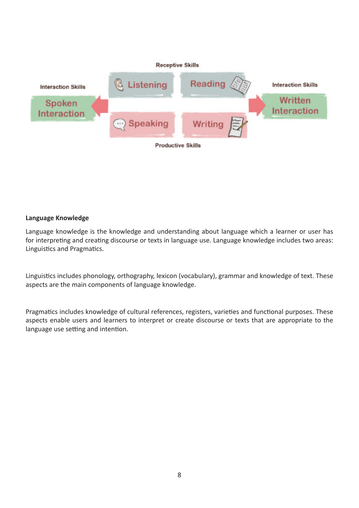

#### **Language Knowledge**

Language knowledge is the knowledge and understanding about language which a learner or user has for interpreting and creating discourse or texts in language use. Language knowledge includes two areas: Linguistics and Pragmatics.

Linguistics includes phonology, orthography, lexicon (vocabulary), grammar and knowledge of text. These aspects are the main components of language knowledge.

Pragmatics includes knowledge of cultural references, registers, varieties and functional purposes. These aspects enable users and learners to interpret or create discourse or texts that are appropriate to the language use setting and intention.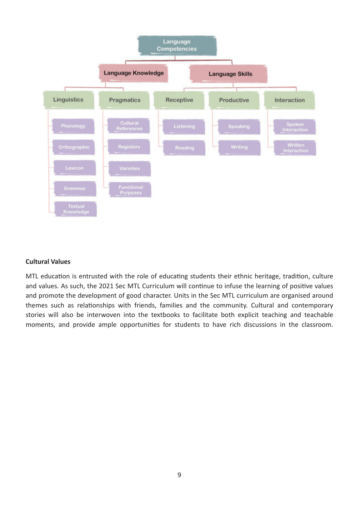

#### **Cultural Values**

MTL education is entrusted with the role of educating students their ethnic heritage, tradition, culture and values. As such, the 2021 Sec MTL Curriculum will continue to infuse the learning of positive values and promote the development of good character. Units in the Sec MTL curriculum are organised around themes such as relationships with friends, families and the community. Cultural and contemporary stories will also be interwoven into the textbooks to facilitate both explicit teaching and teachable moments, and provide ample opportunities for students to have rich discussions in the classroom.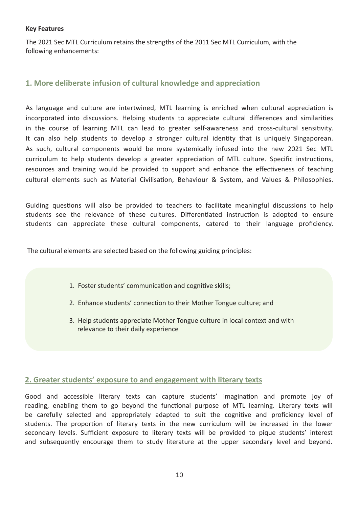#### **Key Features**

The 2021 Sec MTL Curriculum retains the strengths of the 2011 Sec MTL Curriculum, with the following enhancements:

#### **1. More deliberate infusion of cultural knowledge and appreciation**

As language and culture are intertwined, MTL learning is enriched when cultural appreciation is incorporated into discussions. Helping students to appreciate cultural differences and similarities in the course of learning MTL can lead to greater self-awareness and cross-cultural sensitivity. It can also help students to develop a stronger cultural identity that is uniquely Singaporean. As such, cultural components would be more systemically infused into the new 2021 Sec MTL curriculum to help students develop a greater appreciation of MTL culture. Specific instructions, resources and training would be provided to support and enhance the effectiveness of teaching cultural elements such as Material Civilisation, Behaviour & System, and Values & Philosophies.

Guiding questions will also be provided to teachers to facilitate meaningful discussions to help students see the relevance of these cultures. Differentiated instruction is adopted to ensure students can appreciate these cultural components, catered to their language proficiency.

The cultural elements are selected based on the following guiding principles:

- 1. Foster students' communication and cognitive skills;
- 2. Enhance students' connection to their Mother Tongue culture; and
- 3. Help students appreciate Mother Tongue culture in local context and with relevance to their daily experience

#### **2. Greater students' exposure to and engagement with literary texts**

Good and accessible literary texts can capture students' imagination and promote joy of reading, enabling them to go beyond the functional purpose of MTL learning. Literary texts will be carefully selected and appropriately adapted to suit the cognitive and proficiency level of students. The proportion of literary texts in the new curriculum will be increased in the lower secondary levels. Sufficient exposure to literary texts will be provided to pique students' interest and subsequently encourage them to study literature at the upper secondary level and beyond.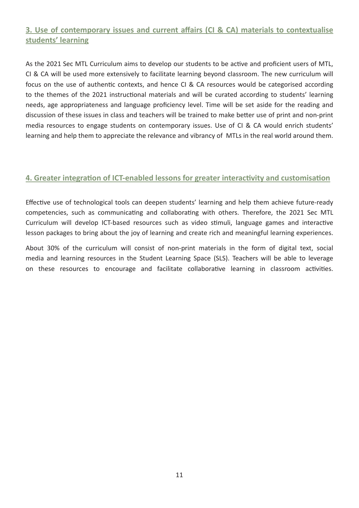#### **3. Use of contemporary issues and current affairs (CI & CA) materials to contextualise students' learning**

As the 2021 Sec MTL Curriculum aims to develop our students to be active and proficient users of MTL, CI & CA will be used more extensively to facilitate learning beyond classroom. The new curriculum will focus on the use of authentic contexts, and hence CI & CA resources would be categorised according to the themes of the 2021 instructional materials and will be curated according to students' learning needs, age appropriateness and language proficiency level. Time will be set aside for the reading and discussion of these issues in class and teachers will be trained to make better use of print and non-print media resources to engage students on contemporary issues. Use of CI & CA would enrich students' learning and help them to appreciate the relevance and vibrancy of MTLs in the real world around them.

#### **4. Greater integration of ICT-enabled lessons for greater interactivity and customisation**

Effective use of technological tools can deepen students' learning and help them achieve future-ready competencies, such as communicating and collaborating with others. Therefore, the 2021 Sec MTL Curriculum will develop ICT-based resources such as video stimuli, language games and interactive lesson packages to bring about the joy of learning and create rich and meaningful learning experiences.

About 30% of the curriculum will consist of non-print materials in the form of digital text, social media and learning resources in the Student Learning Space (SLS). Teachers will be able to leverage on these resources to encourage and facilitate collaborative learning in classroom activities.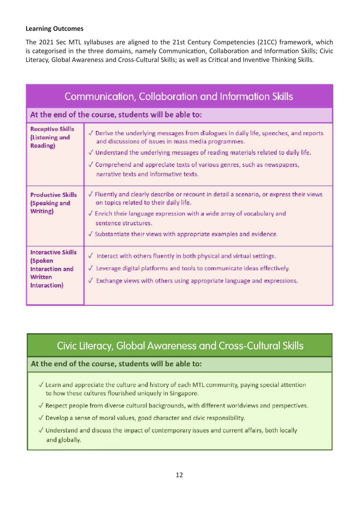#### **Learning Outcomes**

The 2021 Sec MTL syllabuses are aligned to the 21st Century Competencies (21CC) framework, which is categorised in the three domains, namely Communication, Collaboration and Information Skills; Civic Literacy, Global Awareness and Cross-Cultural Skills; as well as Critical and Inventive Thinking Skills.

| Communication, Collaboration and Information Skills                                       |                                                                                                                                                                                                                                                                                                                                                                                   |  |  |  |  |
|-------------------------------------------------------------------------------------------|-----------------------------------------------------------------------------------------------------------------------------------------------------------------------------------------------------------------------------------------------------------------------------------------------------------------------------------------------------------------------------------|--|--|--|--|
| At the end of the course, students will be able to:                                       |                                                                                                                                                                                                                                                                                                                                                                                   |  |  |  |  |
| <b>Receptive Skills</b><br>(Listening and<br>Reading)                                     | $\sqrt{ }$ Derive the underlying messages from dialogues in daily life, speeches, and reports<br>and discussions of issues in mass media programmes.<br>$\sqrt{ }$ Understand the underlying messages of reading materials related to daily life.<br>$\sqrt{\ }$ Comprehend and appreciate texts of various genres, such as newspapers,<br>narrative texts and informative texts. |  |  |  |  |
| <b>Productive Skills</b><br>(Speaking and<br>Writing)                                     | $\sqrt{}$ Fluently and clearly describe or recount in detail a scenario, or express their views<br>on topics related to their daily life.<br>$\sqrt{ }$ Enrich their language expression with a wide array of vocabulary and<br>sentence structures.<br>$\sqrt{ }$ Substantiate their views with appropriate examples and evidence.                                               |  |  |  |  |
| <b>Interactive Skills</b><br>(Spoken<br>Interaction and<br><b>Written</b><br>Interaction) | $\sqrt{ }$ Interact with others fluently in both physical and virtual settings.<br>$\sqrt{ }$ Leverage digital platforms and tools to communicate ideas effectively.<br>$\sqrt{ }$ Exchange views with others using appropriate language and expressions.                                                                                                                         |  |  |  |  |

## Civic Literacy, Global Awareness and Cross-Cultural Skills

#### At the end of the course, students will be able to:

- $\sqrt{}$  Learn and appreciate the culture and history of each MTL community, paying special attention to how these cultures flourished uniquely in Singapore.
- $\sqrt{}$  Respect people from diverse cultural backgrounds, with different worldviews and perspectives.
- $\sqrt{}$  Develop a sense of moral values, good character and civic responsibility.
- $\sqrt{ }$  Understand and discuss the impact of contemporary issues and current affairs, both locally and globally.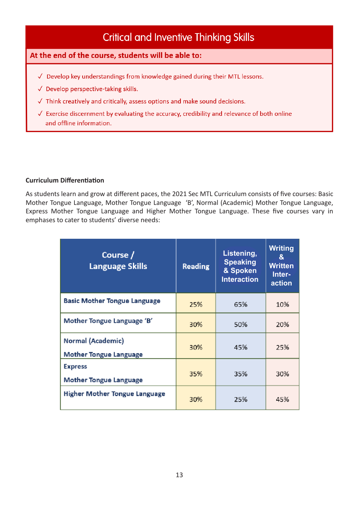# **Critical and Inventive Thinking Skills**

#### At the end of the course, students will be able to:

- $\sqrt{ }$  Develop key understandings from knowledge gained during their MTL lessons.
- √ Develop perspective-taking skills.
- $\sqrt{ }$  Think creatively and critically, assess options and make sound decisions.
- $\sqrt{ }$  Exercise discernment by evaluating the accuracy, credibility and relevance of both online and offline information.

#### **Curriculum Differentiation**

As students learn and grow at different paces, the 2021 Sec MTL Curriculum consists of five courses: Basic Mother Tongue Language, Mother Tongue Language 'B', Normal (Academic) Mother Tongue Language, Express Mother Tongue Language and Higher Mother Tongue Language. These five courses vary in emphases to cater to students' diverse needs:

| Course /<br>Language Skills                               | <b>Reading</b> | Listening,<br><b>Speaking</b><br>& Spoken<br><b>Interaction</b> | <b>Writing</b><br>$\mathbf{z}$<br><b>Written</b><br>Inter-<br>action |
|-----------------------------------------------------------|----------------|-----------------------------------------------------------------|----------------------------------------------------------------------|
| <b>Basic Mother Tongue Language</b>                       | 25%            | 65%                                                             | 10%                                                                  |
| Mother Tongue Language 'B'                                | 30%            | 50%                                                             | 20%                                                                  |
| <b>Normal (Academic)</b><br><b>Mother Tongue Language</b> | 30%            | 45%                                                             | 25%                                                                  |
| <b>Express</b><br><b>Mother Tongue Language</b>           | 35%            | 35%                                                             | 30%                                                                  |
| <b>Higher Mother Tongue Language</b>                      | 30%            | 25%                                                             | 45%                                                                  |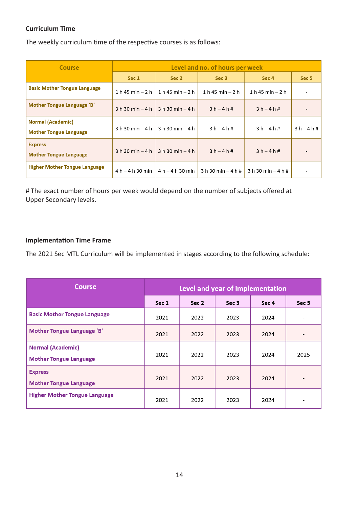#### **Curriculum Time**

The weekly curriculum time of the respective courses is as follows:

| <b>Course</b>                                             | Level and no. of hours per week |                    |                      |                      |             |  |
|-----------------------------------------------------------|---------------------------------|--------------------|----------------------|----------------------|-------------|--|
|                                                           | Sec 1                           | Sec 2              | Sec 3                | Sec 4                | Sec 5       |  |
| <b>Basic Mother Tongue Language</b>                       | $1 h 45 min - 2 h$              | $1 h 45 min - 2 h$ | $1 h 45 min - 2 h$   | $1 h 45 min - 2 h$   |             |  |
| Mother Tongue Language 'B'                                | $3 h 30 min - 4 h$              | $3 h 30 min - 4 h$ | $3h - 4h$ #          | $3h - 4h$ #          |             |  |
| <b>Normal (Academic)</b><br><b>Mother Tongue Language</b> | $3 h 30 min - 4 h$              | $3 h 30 min - 4 h$ | $3 h - 4 h#$         | $3h - 4h$ #          | $3h - 4h$ # |  |
| <b>Express</b><br><b>Mother Tongue Language</b>           | $3 h 30 min - 4 h$              | $3 h 30 min - 4 h$ | $3h - 4h$ #          | $3h - 4h$ #          |             |  |
| <b>Higher Mother Tongue Language</b>                      | $4 h - 4 h 30 min$              | $4 h - 4 h 30 min$ | $3 h 30 min - 4 h #$ | $3 h 30 min - 4 h #$ |             |  |

# The exact number of hours per week would depend on the number of subjects offered at Upper Secondary levels.

#### **Implementation Time Frame**

The 2021 Sec MTL Curriculum will be implemented in stages according to the following schedule:

| <b>Course</b>                                             | Level and year of implementation |       |       |       |                  |
|-----------------------------------------------------------|----------------------------------|-------|-------|-------|------------------|
|                                                           | Sec 1                            | Sec 2 | Sec 3 | Sec 4 | Sec <sub>5</sub> |
| <b>Basic Mother Tongue Language</b>                       | 2021                             | 2022  | 2023  | 2024  | ۰                |
| Mother Tongue Language 'B'                                | 2021                             | 2022  | 2023  | 2024  |                  |
| <b>Normal (Academic)</b><br><b>Mother Tongue Language</b> | 2021                             | 2022  | 2023  | 2024  | 2025             |
| <b>Express</b><br><b>Mother Tongue Language</b>           | 2021                             | 2022  | 2023  | 2024  | $\blacksquare$   |
| <b>Higher Mother Tongue Language</b>                      | 2021                             | 2022  | 2023  | 2024  |                  |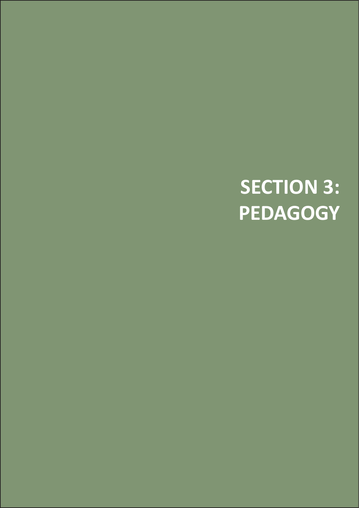# **SECTION 3: PEDAGOGY**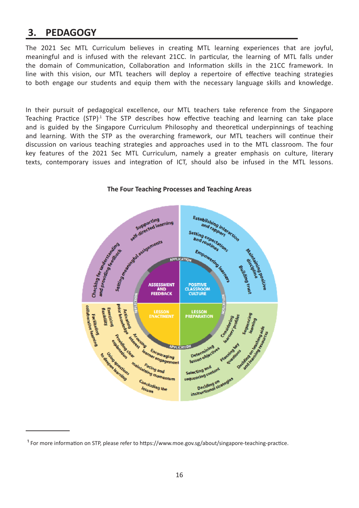### **3. PEDAGOGY**

The 2021 Sec MTL Curriculum believes in creating MTL learning experiences that are joyful, meaningful and is infused with the relevant 21CC. In particular, the learning of MTL falls under the domain of Communication, Collaboration and Information skills in the 21CC framework. In line with this vision, our MTL teachers will deploy a repertoire of effective teaching strategies to both engage our students and equip them with the necessary language skills and knowledge.

In their pursuit of pedagogical excellence, our MTL teachers take reference from the Singapore Teaching Practice (STP) $<sup>1</sup>$  The STP describes how effective teaching and learning can take place</sup> and is guided by the Singapore Curriculum Philosophy and theoretical underpinnings of teaching and learning. With the STP as the overarching framework, our MTL teachers will continue their discussion on various teaching strategies and approaches used in to the MTL classroom. The four key features of the 2021 Sec MTL Curriculum, namely a greater emphasis on culture, literary texts, contemporary issues and integration of ICT, should also be infused in the MTL lessons.



**The Four Teaching Processes and Teaching Areas**

 $1$  For more information on STP, please refer to https://www.moe.gov.sg/about/singapore-teaching-practice.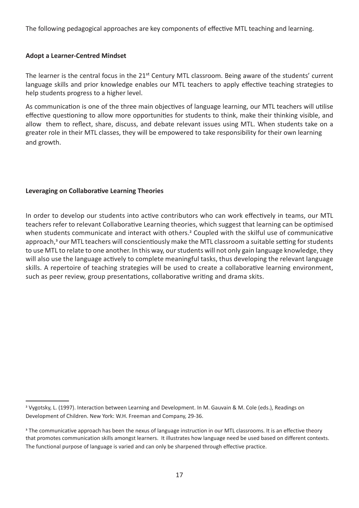The following pedagogical approaches are key components of effective MTL teaching and learning.

#### **Adopt a Learner-Centred Mindset**

The learner is the central focus in the 21<sup>st</sup> Century MTL classroom. Being aware of the students' current language skills and prior knowledge enables our MTL teachers to apply effective teaching strategies to help students progress to a higher level.

As communication is one of the three main objectives of language learning, our MTL teachers will utilise effective questioning to allow more opportunities for students to think, make their thinking visible, and allow them to reflect, share, discuss, and debate relevant issues using MTL. When students take on a greater role in their MTL classes, they will be empowered to take responsibility for their own learning and growth.

#### **Leveraging on Collaborative Learning Theories**

In order to develop our students into active contributors who can work effectively in teams, our MTL teachers refer to relevant Collaborative Learning theories, which suggest that learning can be optimised when students communicate and interact with others.<sup>2</sup> Coupled with the skilful use of communicative approach,<sup>3</sup> our MTL teachers will conscientiously make the MTL classroom a suitable setting for students to use MTL to relate to one another. In this way, our students will not only gain language knowledge, they will also use the language actively to complete meaningful tasks, thus developing the relevant language skills. A repertoire of teaching strategies will be used to create a collaborative learning environment, such as peer review, group presentations, collaborative writing and drama skits.

<sup>2</sup> Vygotsky, L. (1997). Interaction between Learning and Development. In M. Gauvain & M. Cole (eds.), Readings on Development of Children. New York: W.H. Freeman and Company, 29-36.

<sup>&</sup>lt;sup>3</sup> The communicative approach has been the nexus of language instruction in our MTL classrooms. It is an effective theory that promotes communication skills amongst learners. It illustrates how language need be used based on different contexts. The functional purpose of language is varied and can only be sharpened through effective practice.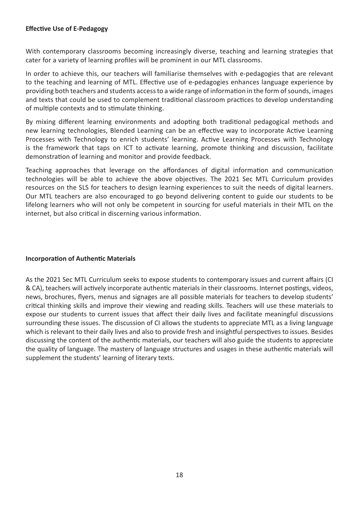#### **Effective Use of E-Pedagogy**

With contemporary classrooms becoming increasingly diverse, teaching and learning strategies that cater for a variety of learning profiles will be prominent in our MTL classrooms.

In order to achieve this, our teachers will familiarise themselves with e-pedagogies that are relevant to the teaching and learning of MTL. Effective use of e-pedagogies enhances language experience by providing both teachers and students access to a wide range of information in the form of sounds, images and texts that could be used to complement traditional classroom practices to develop understanding of multiple contexts and to stimulate thinking.

By mixing different learning environments and adopting both traditional pedagogical methods and new learning technologies, Blended Learning can be an effective way to incorporate Active Learning Processes with Technology to enrich students' learning. Active Learning Processes with Technology is the framework that taps on ICT to activate learning, promote thinking and discussion, facilitate demonstration of learning and monitor and provide feedback.

Teaching approaches that leverage on the affordances of digital information and communication technologies will be able to achieve the above objectives. The 2021 Sec MTL Curriculum provides resources on the SLS for teachers to design learning experiences to suit the needs of digital learners. Our MTL teachers are also encouraged to go beyond delivering content to guide our students to be lifelong learners who will not only be competent in sourcing for useful materials in their MTL on the internet, but also critical in discerning various information.

#### **Incorporation of Authentic Materials**

As the 2021 Sec MTL Curriculum seeks to expose students to contemporary issues and current affairs (CI & CA), teachers will actively incorporate authentic materials in their classrooms. Internet postings, videos, news, brochures, flyers, menus and signages are all possible materials for teachers to develop students' critical thinking skills and improve their viewing and reading skills. Teachers will use these materials to expose our students to current issues that affect their daily lives and facilitate meaningful discussions surrounding these issues. The discussion of CI allows the students to appreciate MTL as a living language which is relevant to their daily lives and also to provide fresh and insightful perspectives to issues. Besides discussing the content of the authentic materials, our teachers will also guide the students to appreciate the quality of language. The mastery of language structures and usages in these authentic materials will supplement the students' learning of literary texts.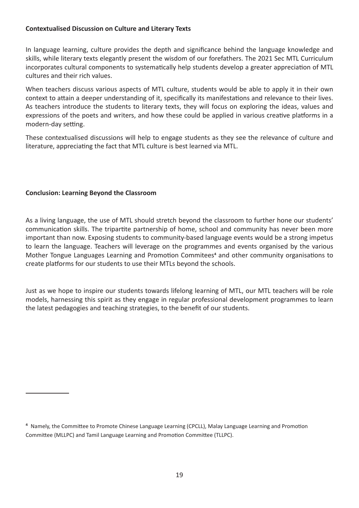#### **Contextualised Discussion on Culture and Literary Texts**

In language learning, culture provides the depth and significance behind the language knowledge and skills, while literary texts elegantly present the wisdom of our forefathers. The 2021 Sec MTL Curriculum incorporates cultural components to systematically help students develop a greater appreciation of MTL cultures and their rich values.

When teachers discuss various aspects of MTL culture, students would be able to apply it in their own context to attain a deeper understanding of it, specifically its manifestations and relevance to their lives. As teachers introduce the students to literary texts, they will focus on exploring the ideas, values and expressions of the poets and writers, and how these could be applied in various creative platforms in a modern-day setting.

These contextualised discussions will help to engage students as they see the relevance of culture and literature, appreciating the fact that MTL culture is best learned via MTL.

#### **Conclusion: Learning Beyond the Classroom**

As a living language, the use of MTL should stretch beyond the classroom to further hone our students' communication skills. The tripartite partnership of home, school and community has never been more important than now. Exposing students to community-based language events would be a strong impetus to learn the language. Teachers will leverage on the programmes and events organised by the various Mother Tongue Languages Learning and Promotion Commitees<sup>4</sup> and other community organisations to create platforms for our students to use their MTLs beyond the schools.

Just as we hope to inspire our students towards lifelong learning of MTL, our MTL teachers will be role models, harnessing this spirit as they engage in regular professional development programmes to learn the latest pedagogies and teaching strategies, to the benefit of our students.

<sup>4</sup> Namely, the Committee to Promote Chinese Language Learning (CPCLL), Malay Language Learning and Promotion Committee (MLLPC) and Tamil Language Learning and Promotion Committee (TLLPC).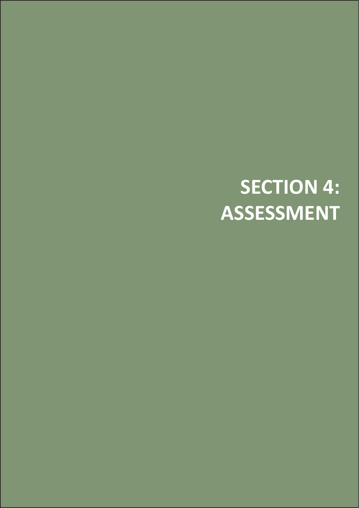# **SECTION 4: ASSESSMENT**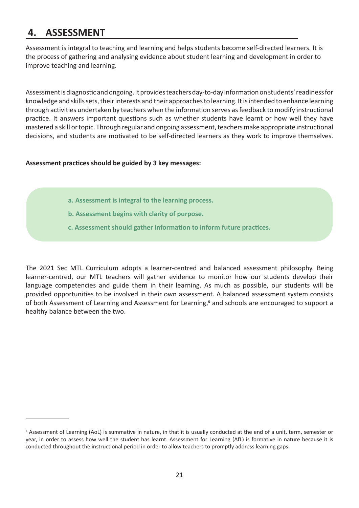## **4. ASSESSMENT**

Assessment is integral to teaching and learning and helps students become self-directed learners. It is the process of gathering and analysing evidence about student learning and development in order to improve teaching and learning.

Assessment is diagnostic and ongoing. It provides teachers day-to-day information on students' readiness for knowledge and skills sets, their interests and their approaches to learning. It is intended to enhance learning through activities undertaken by teachers when the information serves as feedback to modify instructional practice. It answers important questions such as whether students have learnt or how well they have mastered a skill or topic. Through regular and ongoing assessment, teachers make appropriate instructional decisions, and students are motivated to be self-directed learners as they work to improve themselves.

#### **Assessment practices should be guided by 3 key messages:**

- **a. Assessment is integral to the learning process.**
- **b. Assessment begins with clarity of purpose.**
- **c. Assessment should gather information to inform future practices.**

The 2021 Sec MTL Curriculum adopts a learner-centred and balanced assessment philosophy. Being learner-centred, our MTL teachers will gather evidence to monitor how our students develop their language competencies and guide them in their learning. As much as possible, our students will be provided opportunities to be involved in their own assessment. A balanced assessment system consists of both Assessment of Learning and Assessment for Learning,5 and schools are encouraged to support a healthy balance between the two.

<sup>5</sup> Assessment of Learning (AoL) is summative in nature, in that it is usually conducted at the end of a unit, term, semester or year, in order to assess how well the student has learnt. Assessment for Learning (AfL) is formative in nature because it is conducted throughout the instructional period in order to allow teachers to promptly address learning gaps.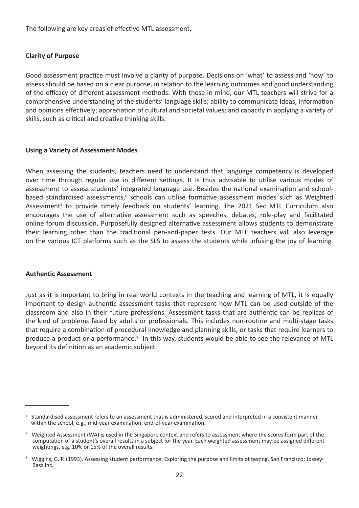The following are key areas of effective MTL assessment.

#### **Clarity of Purpose**

Good assessment practice must involve a clarity of purpose. Decisions on 'what' to assess and 'how' to assess should be based on a clear purpose, in relation to the learning outcomes and good understanding of the efficacy of different assessment methods. With these in mind, our MTL teachers will strive for a comprehensive understanding of the students' language skills; ability to communicate ideas, information and opinions effectively; appreciation of cultural and societal values; and capacity in applying a variety of skills, such as critical and creative thinking skills.

#### **Using a Variety of Assessment Modes**

When assessing the students, teachers need to understand that language competency is developed over time through regular use in different settings. It is thus advisable to utilise various modes of assessment to assess students' integrated language use. Besides the national examination and schoolbased standardised assessments,<sup>6</sup> schools can utilise formative assessment modes such as Weighted Assessment<sup>7</sup> to provide timely feedback on students' learning. The 2021 Sec MTL Curriculum also encourages the use of alternative assessment such as speeches, debates, role-play and facilitated online forum discussion. Purposefully designed alternative assessment allows students to demonstrate their learning other than the traditional pen-and-paper tests. Our MTL teachers will also leverage on the various ICT platforms such as the SLS to assess the students while infusing the joy of learning.

#### **Authentic Assessment**

Just as it is important to bring in real world contexts in the teaching and learning of MTL, it is equally important to design authentic assessment tasks that represent how MTL can be used outside of the classroom and also in their future professions. Assessment tasks that are authentic can be replicas of the kind of problems faced by adults or professionals. This includes non-routine and multi-stage tasks that require a combination of procedural knowledge and planning skills, or tasks that require learners to produce a product or a performance.<sup>8</sup> In this way, students would be able to see the relevance of MTL beyond its definition as an academic subject.

<sup>6</sup> Standardised assessment refers to an assessment that is administered, scored and interpreted in a consistent manner within the school, e.g., mid-year examination, end-of-year examination.

Weighted Assessment (WA) is used in the Singapore context and refers to assessment where the scores form part of the computation of a student's overall results in a subject for the year. Each weighted assessment may be assigned different weightings, e.g. 10% or 15% of the overall results.

⁸ Wiggins, G. P. (1993). Assessing student performance: Exploring the purpose and limits of testing. San Francisco: Jossey- Bass Inc.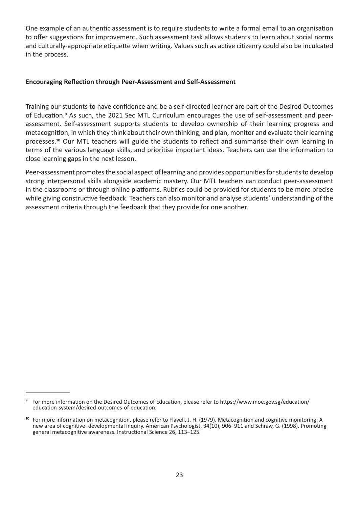One example of an authentic assessment is to require students to write a formal email to an organisation to offer suggestions for improvement. Such assessment task allows students to learn about social norms and culturally-appropriate etiquette when writing. Values such as active citizenry could also be inculcated in the process.

#### **Encouraging Reflection through Peer-Assessment and Self-Assessment**

Training our students to have confidence and be a self-directed learner are part of the Desired Outcomes of Education.9 As such, the 2021 Sec MTL Curriculum encourages the use of self-assessment and peerassessment. Self-assessment supports students to develop ownership of their learning progress and metacognition, in which they think about their own thinking, and plan, monitor and evaluate their learning processes.<sup>10</sup> Our MTL teachers will guide the students to reflect and summarise their own learning in terms of the various language skills, and prioritise important ideas. Teachers can use the information to close learning gaps in the next lesson.

Peer-assessment promotes the social aspect of learning and provides opportunities for students to develop strong interpersonal skills alongside academic mastery. Our MTL teachers can conduct peer-assessment in the classrooms or through online platforms. Rubrics could be provided for students to be more precise while giving constructive feedback. Teachers can also monitor and analyse students' understanding of the assessment criteria through the feedback that they provide for one another.

⁹ For more information on the Desired Outcomes of Education, please refer to https://www.moe.gov.sg/education/ education-system/desired-outcomes-of-education.

<sup>&</sup>lt;sup>10</sup> For more information on metacognition, please refer to Flavell, J. H. (1979). Metacognition and cognitive monitoring: A new area of cognitive–developmental inquiry. American Psychologist, 34(10), 906–911 and Schraw, G. (1998). Promoting general metacognitive awareness. Instructional Science 26, 113–125.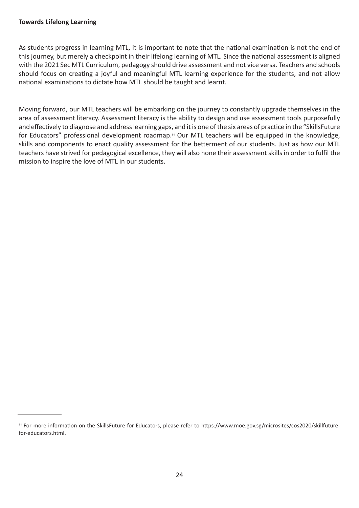#### **Towards Lifelong Learning**

As students progress in learning MTL, it is important to note that the national examination is not the end of this journey, but merely a checkpoint in their lifelong learning of MTL. Since the national assessment is aligned with the 2021 Sec MTL Curriculum, pedagogy should drive assessment and not vice versa. Teachers and schools should focus on creating a joyful and meaningful MTL learning experience for the students, and not allow national examinations to dictate how MTL should be taught and learnt.

Moving forward, our MTL teachers will be embarking on the journey to constantly upgrade themselves in the area of assessment literacy. Assessment literacy is the ability to design and use assessment tools purposefully and effectively to diagnose and address learning gaps, and it is one of the six areas of practice in the "SkillsFuture for Educators" professional development roadmap.<sup>11</sup> Our MTL teachers will be equipped in the knowledge, skills and components to enact quality assessment for the betterment of our students. Just as how our MTL teachers have strived for pedagogical excellence, they will also hone their assessment skills in order to fulfil the mission to inspire the love of MTL in our students.

<sup>11</sup> For more information on the SkillsFuture for Educators, please refer to https://www.moe.gov.sg/microsites/cos2020/skillfuturefor-educators.html.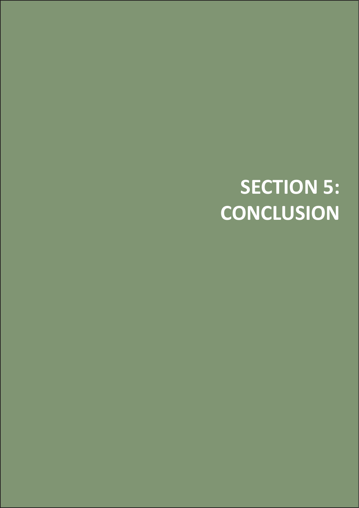# **SECTION 5: CONCLUSION**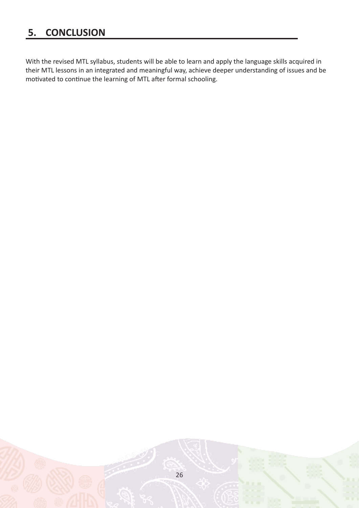# **5. CONCLUSION**

With the revised MTL syllabus, students will be able to learn and apply the language skills acquired in their MTL lessons in an integrated and meaningful way, achieve deeper understanding of issues and be motivated to continue the learning of MTL after formal schooling.